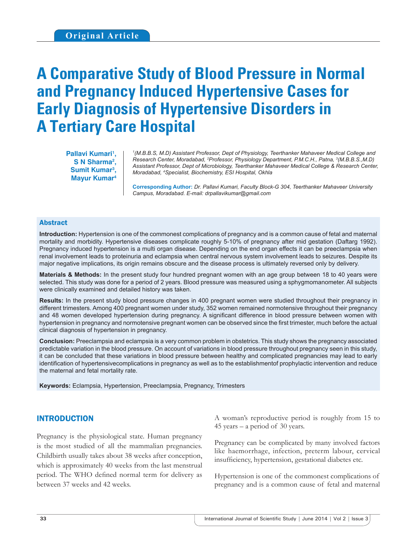# **A Comparative Study of Blood Pressure in Normal and Pregnancy Induced Hypertensive Cases for Early Diagnosis of Hypertensive Disorders in A Tertiary Care Hospital**

Pallavi Kumari<sup>1</sup>, **S N Sharma2 , Sumit Kumar3 , Mayur Kumar4**

*1 (M.B.B.S, M.D) Assistant Professor, Dept of Physiology, Teerthanker Mahaveer Medical College and Research Center, Moradabad, 2 Professor, Physiology Department, P.M.C.H., Patna, 3 (M.B.B.S.,M.D) Assistant Professor, Dept of Microbiology, Teerthanker Mahaveer Medical College & Research Center, Moradabad, 4 Specialist, Biochemistry, ESI Hospital, Okhla*

**Corresponding Author:** *Dr. Pallavi Kumari, Faculty Block-G 304, Teerthanker Mahaveer University Campus, Moradabad. E-mail: drpallavikumar@gmail.com*

#### Abstract

**Introduction:** Hypertension is one of the commonest complications of pregnancy and is a common cause of fetal and maternal mortality and morbidity. Hypertensive diseases complicate roughly 5-10% of pregnancy after mid gestation (Daftarg 1992). Pregnancy induced hypertension is a multi organ disease. Depending on the end organ effects it can be preeclampsia when renal involvement leads to proteinuria and eclampsia when central nervous system involvement leads to seizures. Despite its major negative implications, its origin remains obscure and the disease process is ultimately reversed only by delivery.

**Materials & Methods:** In the present study four hundred pregnant women with an age group between 18 to 40 years were selected. This study was done for a period of 2 years. Blood pressure was measured using a sphygmomanometer. All subjects were clinically examined and detailed history was taken.

**Results:** In the present study blood pressure changes in 400 pregnant women were studied throughout their pregnancy in different trimesters. Among 400 pregnant women under study, 352 women remained normotensive throughout their pregnancy and 48 women developed hypertension during pregnancy. A significant difference in blood pressure between women with hypertension in pregnancy and normotensive pregnant women can be observed since the first trimester, much before the actual clinical diagnosis of hypertension in pregnancy.

**Conclusion:** Preeclampsia and eclampsia is a very common problem in obstetrics. This study shows the pregnancy associated predictable variation in the blood pressure. On account of variations in blood pressure throughout pregnancy seen in this study, it can be concluded that these variations in blood pressure between healthy and complicated pregnancies may lead to early identification of hypertensivecomplications in pregnancy as well as to the establishmentof prophylactic intervention and reduce the maternal and fetal mortality rate.

**Keywords:** Eclampsia, Hypertension, Preeclampsia, Pregnancy, Trimesters

## INTRODUCTION

Pregnancy is the physiological state. Human pregnancy is the most studied of all the mammalian pregnancies. Childbirth usually takes about 38 weeks after conception, which is approximately 40 weeks from the last menstrual period. The WHO defined normal term for delivery as between 37 weeks and 42 weeks.

A woman's reproductive period is roughly from 15 to 45 years – a period of 30 years.

Pregnancy can be complicated by many involved factors like haemorrhage, infection, preterm labour, cervical insufficiency, hypertension, gestational diabetes etc.

Hypertension is one of the commonest complications of pregnancy and is a common cause of fetal and maternal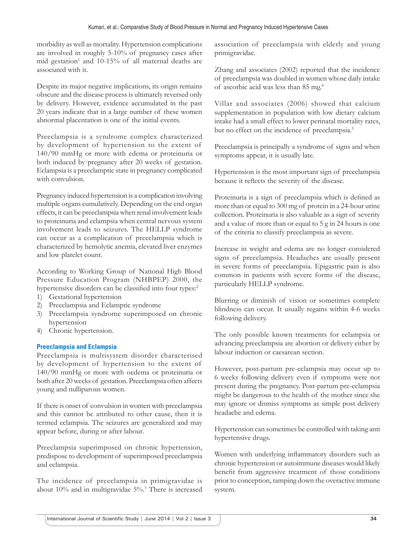morbidity as well as mortality. Hypertension complications are involved in roughly 5-10% of pregnancy cases after mid gestation<sup>1</sup> and 10-15% of all maternal deaths are associated with it.

Despite its major negative implications, its origin remains obscure and the disease process is ultimately reversed only by delivery. However, evidence accumulated in the past 20 years indicate that in a large number of these women abnormal placentation is one of the initial events.

Preeclampsia is a syndrome complex characterized by development of hypertension to the extent of 140/90 mmHg or more with edema or proteinuria or both induced by pregnancy after 20 weeks of gestation. Eclampsia is a preeclamptic state in pregnancy complicated with convulsion.

Pregnancy induced hypertension is a complication involving multiple organs cumulatively. Depending on the end organ effects, it can be preeclampsia when renal involvement leads to proteinuria and eclampsia when central nervous system involvement leads to seizures. The HELLP syndrome can occur as a complication of preeclampsia which is characterized by hemolytic anemia, elevated liver enzymes and low platelet count.

According to Working Group of National High Blood Pressure Education Program (NHBPEP) 2000, the hypertensive disorders can be classified into four types:<sup>2</sup>

- 1) Gestational hypertension
- 2) Preeclampsia and Eclamptic syndrome
- 3) Preeclampsia syndrome superimposed on chronic hypertension
- 4) Chronic hypertension.

#### **Preeclampsia and Eclampsia**

Preeclampsia is multisystem disorder characterised by development of hypertension to the extent of 140/90 mmHg or more with oedema or proteinuria or both after 20 weeks of gestation. Preeclampsia often affects young and nulliparous women.

If there is onset of convulsion in women with preeclampsia and this cannot be attributed to other cause, then it is termed eclampsia. The seizures are generalized and may appear before, during or after labour.

Preeclampsia superimposed on chronic hypertension, predispose to development of superimposed preeclampsia and eclampsia.

The incidence of preeclampsia in primigravidae is about 10% and in multigravidae 5%.3 There is increased association of preeclampsia with elderly and young primigravidae.

Zhang and associates (2002) reported that the incidence of preeclampsia was doubled in women whose daily intake of ascorbic acid was less than 85 mg.4

Villar and associates (2006) showed that calcium supplementation in population with low dietary calcium intake had a small effect to lower perinatal mortality rates, but no effect on the incidence of preeclampsia.<sup>5</sup>

Preeclampsia is principally a syndrome of signs and when symptoms appear, it is usually late.

Hypertension is the most important sign of preeclampsia because it reflects the severity of the disease.

Proteinuria is a sign of preeclampsia which is defined as more than or equal to 300 mg of protein in a 24-hour urine collection. Proteinuria is also valuable as a sign of severity and a value of more than or equal to 5 g in 24 hours is one of the criteria to classify preeclampsia as severe.

Increase in weight and edema are no longer considered signs of preeclampsia. Headaches are usually present in severe forms of preeclampsia. Epigastric pain is also common in patients with severe forms of the disease, particularly HELLP syndrome.

Blurring or diminish of vision or sometimes complete blindness can occur. It usually regains within 4-6 weeks following delivery.

The only possible known treatments for eclampsia or advancing preeclampsia are abortion or delivery either by labour induction or caesarean section.

However, post-partum pre-eclampsia may occur up to 6 weeks following delivery even if symptoms were not present during the pregnancy. Post-partum pre-eclampsia might be dangerous to the health of the mother since she may ignore or dismiss symptoms as simple post delivery headache and edema.

Hypertension can sometimes be controlled with taking anti hypertensive drugs.

Women with underlying inflammatory disorders such as chronic hypertension or autoimmune diseases would likely benefit from aggressive treatment of those conditions prior to conception, tamping down the overactive immune system.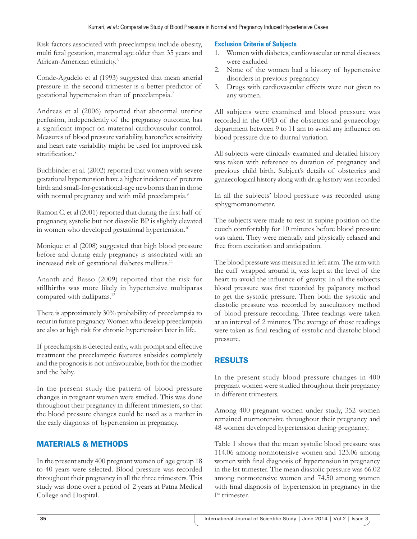Risk factors associated with preeclampsia include obesity, multi fetal gestation, maternal age older than 35 years and African-American ethnicity.6

Conde-Agudelo et al (1993) suggested that mean arterial pressure in the second trimester is a better predictor of gestational hypertension than of preeclampsia.7

Andreas et al (2006) reported that abnormal uterine perfusion, independently of the pregnancy outcome, has a significant impact on maternal cardiovascular control. Measures of blood pressure variability, baroreflex sensitivity and heart rate variability might be used for improved risk stratification.<sup>8</sup>

Buchbinder et al. (2002) reported that women with severe gestational hypertension have a higher incidence of preterm birth and small-for-gestational-age newborns than in those with normal pregnancy and with mild preeclampsia.<sup>9</sup>

Ramon C. et al (2001) reported that during the first half of pregnancy, systolic but not diastolic BP is slightly elevated in women who developed gestational hypertension.<sup>10</sup>

Monique et al (2008) suggested that high blood pressure before and during early pregnancy is associated with an increased risk of gestational diabetes mellitus.<sup>11</sup>

Ananth and Basso (2009) reported that the risk for stillbirths was more likely in hypertensive multiparas compared with nulliparas.<sup>12</sup>

There is approximately 30% probability of preeclampsia to recur in future pregnancy. Women who develop preeclampsia are also at high risk for chronic hypertension later in life.

If preeclampsia is detected early, with prompt and effective treatment the preeclamptic features subsides completely and the prognosis is not unfavourable, both for the mother and the baby.

In the present study the pattern of blood pressure changes in pregnant women were studied. This was done throughout their pregnancy in different trimesters, so that the blood pressure changes could be used as a marker in the early diagnosis of hypertension in pregnancy.

# MATERIALS & METHODS

In the present study 400 pregnant women of age group 18 to 40 years were selected. Blood pressure was recorded throughout their pregnancy in all the three trimesters. This study was done over a period of 2 years at Patna Medical College and Hospital.

#### **Exclusion Criteria of Subjects**

- 1. Women with diabetes, cardiovascular or renal diseases were excluded
- 2. None of the women had a history of hypertensive disorders in previous pregnancy
- 3. Drugs with cardiovascular effects were not given to any women.

All subjects were examined and blood pressure was recorded in the OPD of the obstetrics and gynaecology department between 9 to 11 am to avoid any influence on blood pressure due to diurnal variation.

All subjects were clinically examined and detailed history was taken with reference to duration of pregnancy and previous child birth. Subject's details of obstetrics and gynaecological history along with drug history was recorded

In all the subjects' blood pressure was recorded using sphygmomanometer.

The subjects were made to rest in supine position on the couch comfortably for 10 minutes before blood pressure was taken. They were mentally and physically relaxed and free from excitation and anticipation.

The blood pressure was measured in left arm. The arm with the cuff wrapped around it, was kept at the level of the heart to avoid the influence of gravity. In all the subjects blood pressure was first recorded by palpatory method to get the systolic pressure. Then both the systolic and diastolic pressure was recorded by auscultatory method of blood pressure recording. Three readings were taken at an interval of 2 minutes. The average of those readings were taken as final reading of systolic and diastolic blood pressure.

## RESULTS

In the present study blood pressure changes in 400 pregnant women were studied throughout their pregnancy in different trimesters.

Among 400 pregnant women under study, 352 women remained normotensive throughout their pregnancy and 48 women developed hypertension during pregnancy.

Table 1 shows that the mean systolic blood pressure was 114.06 among normotensive women and 123.06 among women with final diagnosis of hypertension in pregnancy in the Ist trimester. The mean diastolic pressure was 66.02 among normotensive women and 74.50 among women with final diagnosis of hypertension in pregnancy in the Ist trimester.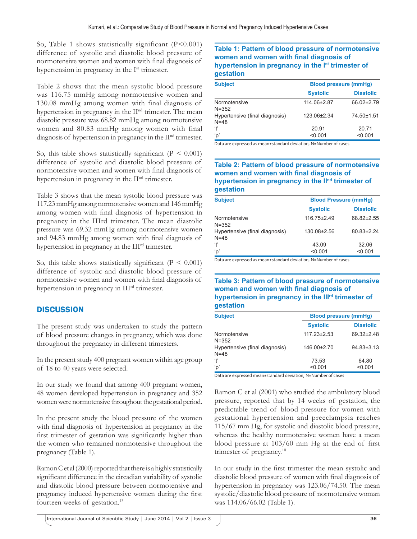So, Table 1 shows statistically significant  $(P<0.001)$ difference of systolic and diastolic blood pressure of normotensive women and women with final diagnosis of hypertension in pregnancy in the I<sup>st</sup> trimester.

Table 2 shows that the mean systolic blood pressure was 116.75 mmHg among normotensive women and 130.08 mmHg among women with final diagnosis of hypertension in pregnancy in the II<sup>nd</sup> trimester. The mean diastolic pressure was 68.82 mmHg among normotensive women and 80.83 mmHg among women with final diagnosis of hypertension in pregnancy in the II<sup>nd</sup> trimester.

So, this table shows statistically significant ( $P < 0.001$ ) difference of systolic and diastolic blood pressure of normotensive women and women with final diagnosis of hypertension in pregnancy in the II<sup>nd</sup> trimester.

Table 3 shows that the mean systolic blood pressure was 117.23 mmHg among normotensive women and 146 mmHg among women with final diagnosis of hypertension in pregnancy in the IIIrd trimester. The mean diastolic pressure was 69.32 mmHg among normotensive women and 94.83 mmHg among women with final diagnosis of hypertension in pregnancy in the IIIrd trimester.

So, this table shows statistically significant ( $P < 0.001$ ) difference of systolic and diastolic blood pressure of normotensive women and women with final diagnosis of hypertension in pregnancy in IIIrd trimester.

## **DISCUSSION**

The present study was undertaken to study the pattern of blood pressure changes in pregnancy, which was done throughout the pregnancy in different trimesters.

In the present study 400 pregnant women within age group of 18 to 40 years were selected.

In our study we found that among 400 pregnant women, 48 women developed hypertension in pregnancy and 352 women were normotensive throughout the gestational period.

In the present study the blood pressure of the women with final diagnosis of hypertension in pregnancy in the first trimester of gestation was significantly higher than the women who remained normotensive throughout the pregnancy (Table 1).

Ramon C et al (2000) reported that there is a highly statistically significant difference in the circadian variability of systolic and diastolic blood pressure between normotensive and pregnancy induced hypertensive women during the first fourteen weeks of gestation.13

#### **Table 1: Pattern of blood pressure of normotensive women and women with final diagnosis of hypertension in pregnancy in the Ist trimester of gestation**

| <b>Subject</b>                             | <b>Blood pressure (mmHg)</b> |                  |
|--------------------------------------------|------------------------------|------------------|
|                                            | <b>Systolic</b>              | <b>Diastolic</b> |
| Normotensive<br>$N = 352$                  | 114.06±2.87                  | 66.02±2.79       |
| Hypertensive (final diagnosis)<br>$N = 48$ | 123.06±2.34                  | 74.50±1.51       |
| ʻt'                                        | 20.91                        | 20.71            |
| ʻp'                                        | < 0.001                      | < 0.001          |

Data are expressed as mean±standard deviation, N=Number of cases

#### **Table 2: Pattern of blood pressure of normotensive women and women with final diagnosis of** hypertension in pregnancy in the II<sup>nd</sup> trimester of **gestation**

| <b>Subject</b>                         | <b>Blood Pressure (mmHg)</b> |                  |
|----------------------------------------|------------------------------|------------------|
|                                        | <b>Systolic</b>              | <b>Diastolic</b> |
| Normotensive<br>N=352                  | 116.75±2.49                  | 68.82±2.55       |
| Hypertensive (final diagnosis)<br>N=48 | 130.08±2.56                  | 80.83±2.24       |
| ʻt'                                    | 43.09                        | 32.06            |
| ʻp'                                    | < 0.001                      | < 0.001          |

Data are expressed as mean±standard deviation, N=Number of cases

### **Table 3: Pattern of blood pressure of normotensive**  women and women with final diagnosis of hypertension in pregnancy in the III<sup>rd</sup> trimester of **gestation**

| <b>Subject</b>                             | <b>Blood pressure (mmHg)</b> |                  |
|--------------------------------------------|------------------------------|------------------|
|                                            | <b>Systolic</b>              | <b>Diastolic</b> |
| Normotensive<br>N=352                      | $117.23 \pm 2.53$            | 69.32±2.48       |
| Hypertensive (final diagnosis)<br>$N = 48$ | 146.00±2.70                  | 94.83±3.13       |
| ʻt'                                        | 73.53                        | 64.80            |
| ʻp'                                        | < 0.001                      | < 0.001          |

Data are expressed mean±standard deviation, N=Number of cases

Ramon C et al (2001) who studied the ambulatory blood pressure, reported that by 14 weeks of gestation, the predictable trend of blood pressure for women with gestational hypertension and preeclampsia reaches 115/67 mm Hg, for systolic and diastolic blood pressure, whereas the healthy normotensive women have a mean blood pressure at  $103/60$  mm Hg at the end of first trimester of pregnancy.<sup>10</sup>

In our study in the first trimester the mean systolic and diastolic blood pressure of women with final diagnosis of hypertension in pregnancy was 123.06/74.50. The mean systolic/diastolic blood pressure of normotensive woman was 114.06/66.02 (Table 1).